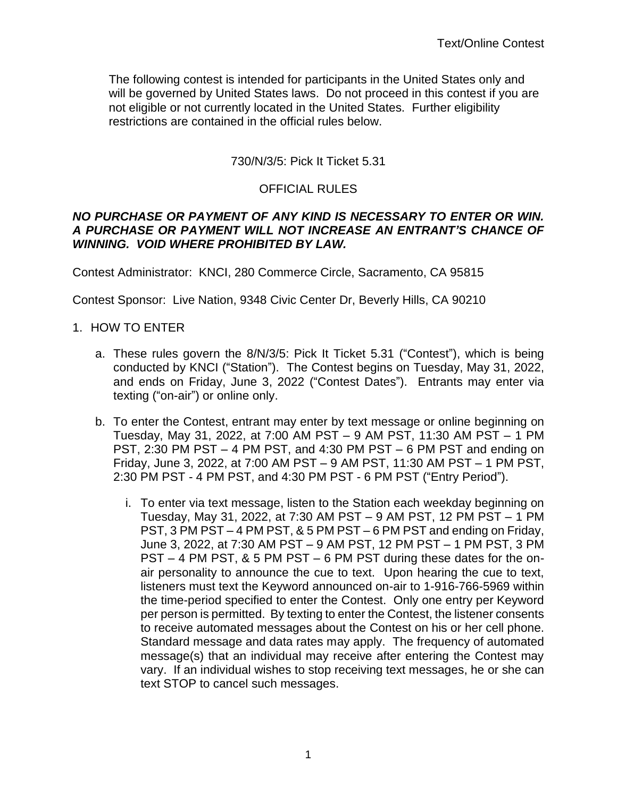The following contest is intended for participants in the United States only and will be governed by United States laws. Do not proceed in this contest if you are not eligible or not currently located in the United States. Further eligibility restrictions are contained in the official rules below.

### 730/N/3/5: Pick It Ticket 5.31

### OFFICIAL RULES

#### *NO PURCHASE OR PAYMENT OF ANY KIND IS NECESSARY TO ENTER OR WIN. A PURCHASE OR PAYMENT WILL NOT INCREASE AN ENTRANT'S CHANCE OF WINNING. VOID WHERE PROHIBITED BY LAW.*

Contest Administrator: KNCI, 280 Commerce Circle, Sacramento, CA 95815

Contest Sponsor: Live Nation, 9348 Civic Center Dr, Beverly Hills, CA 90210

- 1. HOW TO ENTER
	- a. These rules govern the 8/N/3/5: Pick It Ticket 5.31 ("Contest"), which is being conducted by KNCI ("Station"). The Contest begins on Tuesday, May 31, 2022, and ends on Friday, June 3, 2022 ("Contest Dates"). Entrants may enter via texting ("on-air") or online only.
	- b. To enter the Contest, entrant may enter by text message or online beginning on Tuesday, May 31, 2022, at 7:00 AM PST – 9 AM PST, 11:30 AM PST – 1 PM PST, 2:30 PM PST – 4 PM PST, and 4:30 PM PST – 6 PM PST and ending on Friday, June 3, 2022, at 7:00 AM PST – 9 AM PST, 11:30 AM PST – 1 PM PST, 2:30 PM PST - 4 PM PST, and 4:30 PM PST - 6 PM PST ("Entry Period").
		- i. To enter via text message, listen to the Station each weekday beginning on Tuesday, May 31, 2022, at 7:30 AM PST – 9 AM PST, 12 PM PST – 1 PM PST, 3 PM PST – 4 PM PST, & 5 PM PST – 6 PM PST and ending on Friday, June 3, 2022, at 7:30 AM PST – 9 AM PST, 12 PM PST – 1 PM PST, 3 PM PST – 4 PM PST, & 5 PM PST – 6 PM PST during these dates for the onair personality to announce the cue to text. Upon hearing the cue to text, listeners must text the Keyword announced on-air to 1-916-766-5969 within the time-period specified to enter the Contest. Only one entry per Keyword per person is permitted. By texting to enter the Contest, the listener consents to receive automated messages about the Contest on his or her cell phone. Standard message and data rates may apply. The frequency of automated message(s) that an individual may receive after entering the Contest may vary. If an individual wishes to stop receiving text messages, he or she can text STOP to cancel such messages.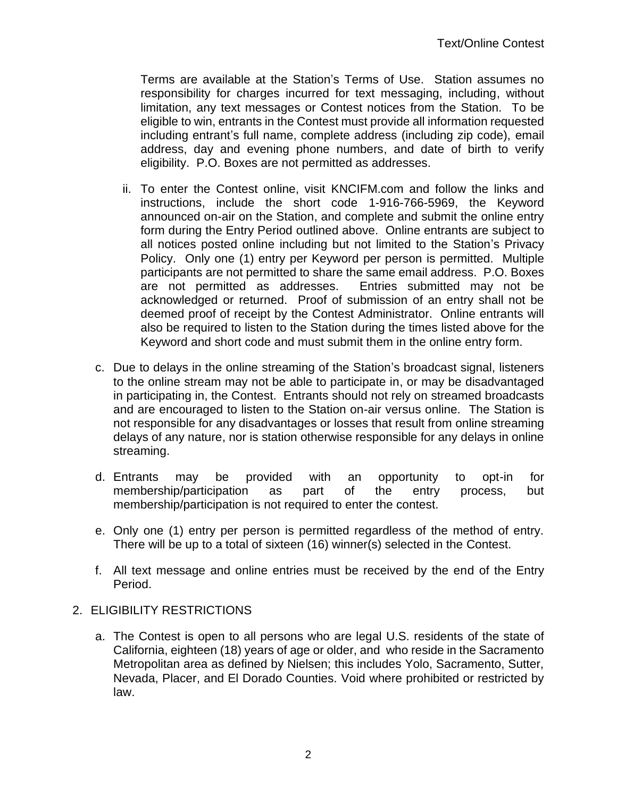Terms are available at the Station's Terms of Use. Station assumes no responsibility for charges incurred for text messaging, including, without limitation, any text messages or Contest notices from the Station. To be eligible to win, entrants in the Contest must provide all information requested including entrant's full name, complete address (including zip code), email address, day and evening phone numbers, and date of birth to verify eligibility. P.O. Boxes are not permitted as addresses.

- ii. To enter the Contest online, visit KNCIFM.com and follow the links and instructions, include the short code 1-916-766-5969, the Keyword announced on-air on the Station, and complete and submit the online entry form during the Entry Period outlined above. Online entrants are subject to all notices posted online including but not limited to the Station's Privacy Policy. Only one (1) entry per Keyword per person is permitted. Multiple participants are not permitted to share the same email address. P.O. Boxes are not permitted as addresses. Entries submitted may not be acknowledged or returned. Proof of submission of an entry shall not be deemed proof of receipt by the Contest Administrator. Online entrants will also be required to listen to the Station during the times listed above for the Keyword and short code and must submit them in the online entry form.
- c. Due to delays in the online streaming of the Station's broadcast signal, listeners to the online stream may not be able to participate in, or may be disadvantaged in participating in, the Contest. Entrants should not rely on streamed broadcasts and are encouraged to listen to the Station on-air versus online. The Station is not responsible for any disadvantages or losses that result from online streaming delays of any nature, nor is station otherwise responsible for any delays in online streaming.
- d. Entrants may be provided with an opportunity to opt-in for membership/participation as part of the entry process, but membership/participation is not required to enter the contest.
- e. Only one (1) entry per person is permitted regardless of the method of entry. There will be up to a total of sixteen (16) winner(s) selected in the Contest.
- f. All text message and online entries must be received by the end of the Entry Period.

# 2. ELIGIBILITY RESTRICTIONS

a. The Contest is open to all persons who are legal U.S. residents of the state of California, eighteen (18) years of age or older, and who reside in the Sacramento Metropolitan area as defined by Nielsen; this includes Yolo, Sacramento, Sutter, Nevada, Placer, and El Dorado Counties. Void where prohibited or restricted by law.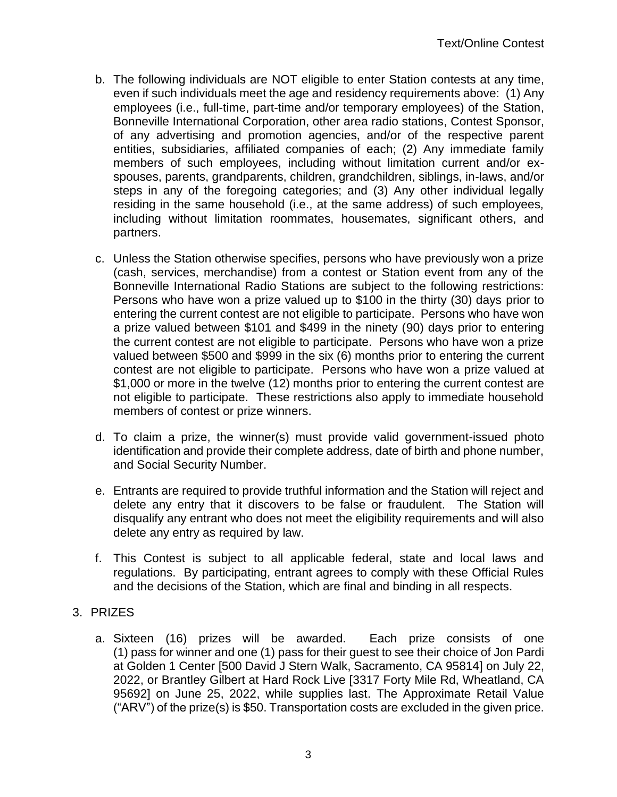- b. The following individuals are NOT eligible to enter Station contests at any time, even if such individuals meet the age and residency requirements above: (1) Any employees (i.e., full-time, part-time and/or temporary employees) of the Station, Bonneville International Corporation, other area radio stations, Contest Sponsor, of any advertising and promotion agencies, and/or of the respective parent entities, subsidiaries, affiliated companies of each; (2) Any immediate family members of such employees, including without limitation current and/or exspouses, parents, grandparents, children, grandchildren, siblings, in-laws, and/or steps in any of the foregoing categories; and (3) Any other individual legally residing in the same household (i.e., at the same address) of such employees, including without limitation roommates, housemates, significant others, and partners.
- c. Unless the Station otherwise specifies, persons who have previously won a prize (cash, services, merchandise) from a contest or Station event from any of the Bonneville International Radio Stations are subject to the following restrictions: Persons who have won a prize valued up to \$100 in the thirty (30) days prior to entering the current contest are not eligible to participate. Persons who have won a prize valued between \$101 and \$499 in the ninety (90) days prior to entering the current contest are not eligible to participate. Persons who have won a prize valued between \$500 and \$999 in the six (6) months prior to entering the current contest are not eligible to participate. Persons who have won a prize valued at \$1,000 or more in the twelve (12) months prior to entering the current contest are not eligible to participate. These restrictions also apply to immediate household members of contest or prize winners.
- d. To claim a prize, the winner(s) must provide valid government-issued photo identification and provide their complete address, date of birth and phone number, and Social Security Number.
- e. Entrants are required to provide truthful information and the Station will reject and delete any entry that it discovers to be false or fraudulent. The Station will disqualify any entrant who does not meet the eligibility requirements and will also delete any entry as required by law.
- f. This Contest is subject to all applicable federal, state and local laws and regulations. By participating, entrant agrees to comply with these Official Rules and the decisions of the Station, which are final and binding in all respects.
- 3. PRIZES
	- a. Sixteen (16) prizes will be awarded. Each prize consists of one (1) pass for winner and one (1) pass for their guest to see their choice of Jon Pardi at Golden 1 Center [500 David J Stern Walk, Sacramento, CA 95814] on July 22, 2022, or Brantley Gilbert at Hard Rock Live [3317 Forty Mile Rd, Wheatland, CA 95692] on June 25, 2022, while supplies last. The Approximate Retail Value ("ARV") of the prize(s) is \$50. Transportation costs are excluded in the given price.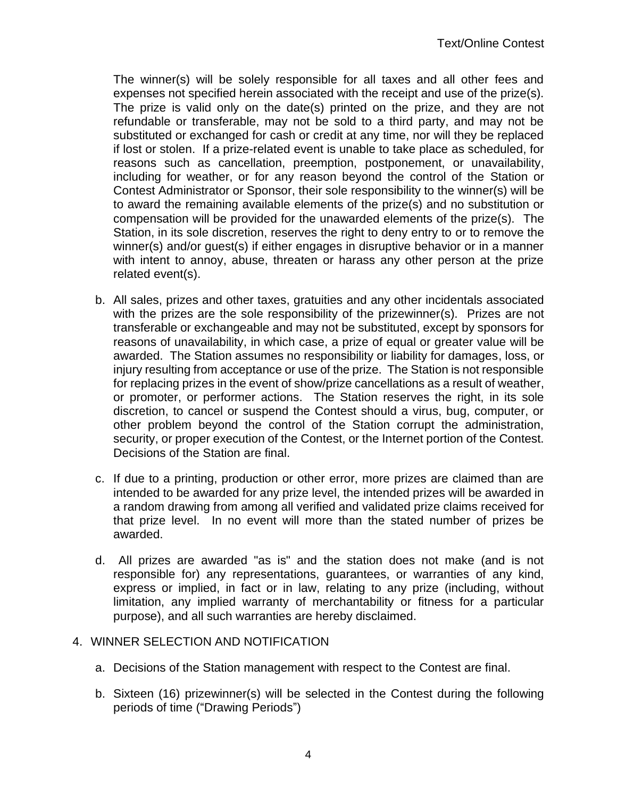The winner(s) will be solely responsible for all taxes and all other fees and expenses not specified herein associated with the receipt and use of the prize(s). The prize is valid only on the date(s) printed on the prize, and they are not refundable or transferable, may not be sold to a third party, and may not be substituted or exchanged for cash or credit at any time, nor will they be replaced if lost or stolen. If a prize-related event is unable to take place as scheduled, for reasons such as cancellation, preemption, postponement, or unavailability, including for weather, or for any reason beyond the control of the Station or Contest Administrator or Sponsor, their sole responsibility to the winner(s) will be to award the remaining available elements of the prize(s) and no substitution or compensation will be provided for the unawarded elements of the prize(s). The Station, in its sole discretion, reserves the right to deny entry to or to remove the winner(s) and/or guest(s) if either engages in disruptive behavior or in a manner with intent to annoy, abuse, threaten or harass any other person at the prize related event(s).

- b. All sales, prizes and other taxes, gratuities and any other incidentals associated with the prizes are the sole responsibility of the prizewinner(s). Prizes are not transferable or exchangeable and may not be substituted, except by sponsors for reasons of unavailability, in which case, a prize of equal or greater value will be awarded. The Station assumes no responsibility or liability for damages, loss, or injury resulting from acceptance or use of the prize. The Station is not responsible for replacing prizes in the event of show/prize cancellations as a result of weather, or promoter, or performer actions. The Station reserves the right, in its sole discretion, to cancel or suspend the Contest should a virus, bug, computer, or other problem beyond the control of the Station corrupt the administration, security, or proper execution of the Contest, or the Internet portion of the Contest. Decisions of the Station are final.
- c. If due to a printing, production or other error, more prizes are claimed than are intended to be awarded for any prize level, the intended prizes will be awarded in a random drawing from among all verified and validated prize claims received for that prize level. In no event will more than the stated number of prizes be awarded.
- d. All prizes are awarded "as is" and the station does not make (and is not responsible for) any representations, guarantees, or warranties of any kind, express or implied, in fact or in law, relating to any prize (including, without limitation, any implied warranty of merchantability or fitness for a particular purpose), and all such warranties are hereby disclaimed.

### 4. WINNER SELECTION AND NOTIFICATION

- a. Decisions of the Station management with respect to the Contest are final.
- b. Sixteen (16) prizewinner(s) will be selected in the Contest during the following periods of time ("Drawing Periods")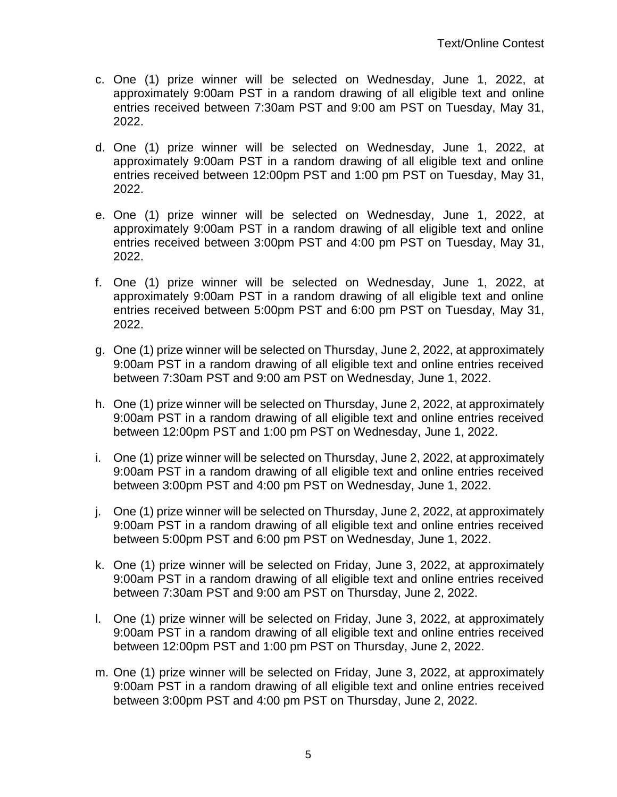- c. One (1) prize winner will be selected on Wednesday, June 1, 2022, at approximately 9:00am PST in a random drawing of all eligible text and online entries received between 7:30am PST and 9:00 am PST on Tuesday, May 31, 2022.
- d. One (1) prize winner will be selected on Wednesday, June 1, 2022, at approximately 9:00am PST in a random drawing of all eligible text and online entries received between 12:00pm PST and 1:00 pm PST on Tuesday, May 31, 2022.
- e. One (1) prize winner will be selected on Wednesday, June 1, 2022, at approximately 9:00am PST in a random drawing of all eligible text and online entries received between 3:00pm PST and 4:00 pm PST on Tuesday, May 31, 2022.
- f. One (1) prize winner will be selected on Wednesday, June 1, 2022, at approximately 9:00am PST in a random drawing of all eligible text and online entries received between 5:00pm PST and 6:00 pm PST on Tuesday, May 31, 2022.
- g. One (1) prize winner will be selected on Thursday, June 2, 2022, at approximately 9:00am PST in a random drawing of all eligible text and online entries received between 7:30am PST and 9:00 am PST on Wednesday, June 1, 2022.
- h. One (1) prize winner will be selected on Thursday, June 2, 2022, at approximately 9:00am PST in a random drawing of all eligible text and online entries received between 12:00pm PST and 1:00 pm PST on Wednesday, June 1, 2022.
- i. One (1) prize winner will be selected on Thursday, June 2, 2022, at approximately 9:00am PST in a random drawing of all eligible text and online entries received between 3:00pm PST and 4:00 pm PST on Wednesday, June 1, 2022.
- j. One (1) prize winner will be selected on Thursday, June 2, 2022, at approximately 9:00am PST in a random drawing of all eligible text and online entries received between 5:00pm PST and 6:00 pm PST on Wednesday, June 1, 2022.
- k. One (1) prize winner will be selected on Friday, June 3, 2022, at approximately 9:00am PST in a random drawing of all eligible text and online entries received between 7:30am PST and 9:00 am PST on Thursday, June 2, 2022.
- l. One (1) prize winner will be selected on Friday, June 3, 2022, at approximately 9:00am PST in a random drawing of all eligible text and online entries received between 12:00pm PST and 1:00 pm PST on Thursday, June 2, 2022.
- m. One (1) prize winner will be selected on Friday, June 3, 2022, at approximately 9:00am PST in a random drawing of all eligible text and online entries received between 3:00pm PST and 4:00 pm PST on Thursday, June 2, 2022.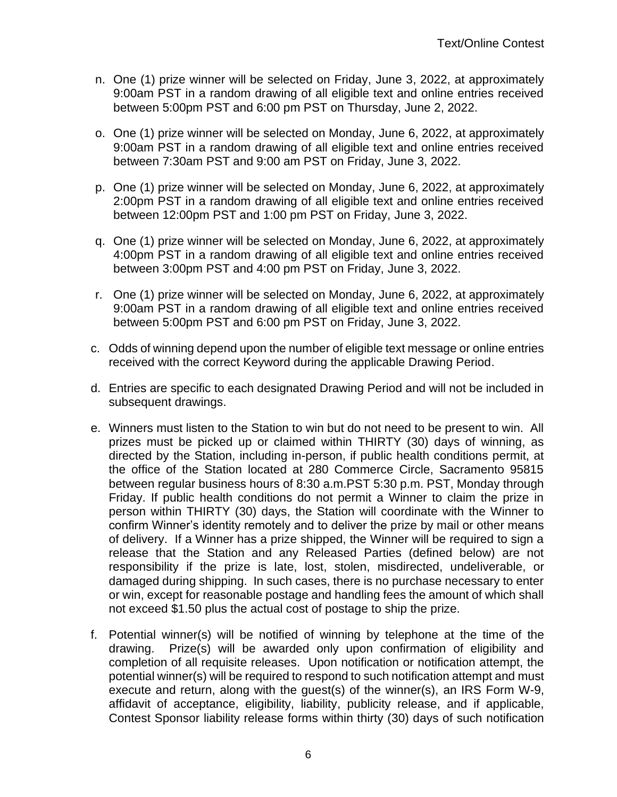- n. One (1) prize winner will be selected on Friday, June 3, 2022, at approximately 9:00am PST in a random drawing of all eligible text and online entries received between 5:00pm PST and 6:00 pm PST on Thursday, June 2, 2022.
- o. One (1) prize winner will be selected on Monday, June 6, 2022, at approximately 9:00am PST in a random drawing of all eligible text and online entries received between 7:30am PST and 9:00 am PST on Friday, June 3, 2022.
- p. One (1) prize winner will be selected on Monday, June 6, 2022, at approximately 2:00pm PST in a random drawing of all eligible text and online entries received between 12:00pm PST and 1:00 pm PST on Friday, June 3, 2022.
- q. One (1) prize winner will be selected on Monday, June 6, 2022, at approximately 4:00pm PST in a random drawing of all eligible text and online entries received between 3:00pm PST and 4:00 pm PST on Friday, June 3, 2022.
- r. One (1) prize winner will be selected on Monday, June 6, 2022, at approximately 9:00am PST in a random drawing of all eligible text and online entries received between 5:00pm PST and 6:00 pm PST on Friday, June 3, 2022.
- c. Odds of winning depend upon the number of eligible text message or online entries received with the correct Keyword during the applicable Drawing Period.
- d. Entries are specific to each designated Drawing Period and will not be included in subsequent drawings.
- e. Winners must listen to the Station to win but do not need to be present to win. All prizes must be picked up or claimed within THIRTY (30) days of winning, as directed by the Station, including in-person, if public health conditions permit, at the office of the Station located at 280 Commerce Circle, Sacramento 95815 between regular business hours of 8:30 a.m.PST 5:30 p.m. PST, Monday through Friday. If public health conditions do not permit a Winner to claim the prize in person within THIRTY (30) days, the Station will coordinate with the Winner to confirm Winner's identity remotely and to deliver the prize by mail or other means of delivery. If a Winner has a prize shipped, the Winner will be required to sign a release that the Station and any Released Parties (defined below) are not responsibility if the prize is late, lost, stolen, misdirected, undeliverable, or damaged during shipping. In such cases, there is no purchase necessary to enter or win, except for reasonable postage and handling fees the amount of which shall not exceed \$1.50 plus the actual cost of postage to ship the prize.
- f. Potential winner(s) will be notified of winning by telephone at the time of the drawing. Prize(s) will be awarded only upon confirmation of eligibility and completion of all requisite releases. Upon notification or notification attempt, the potential winner(s) will be required to respond to such notification attempt and must execute and return, along with the guest(s) of the winner(s), an IRS Form W-9, affidavit of acceptance, eligibility, liability, publicity release, and if applicable, Contest Sponsor liability release forms within thirty (30) days of such notification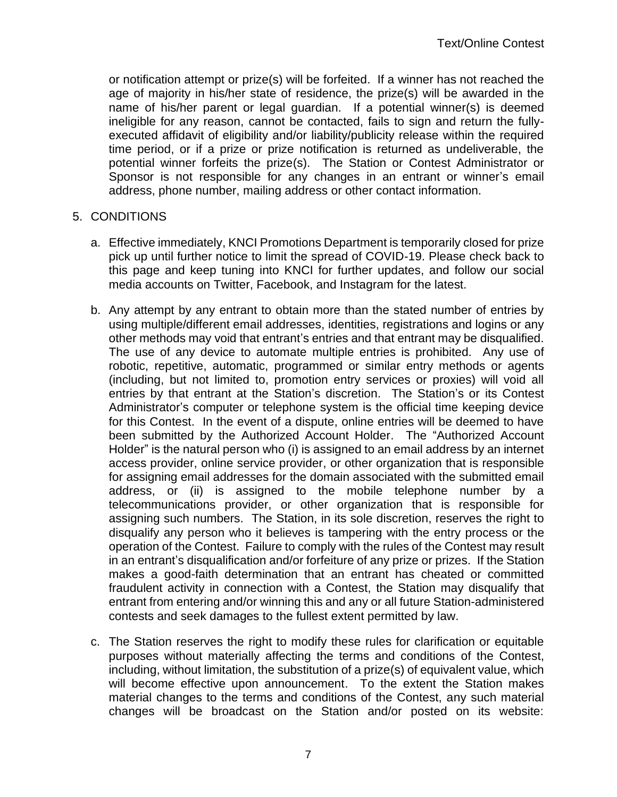or notification attempt or prize(s) will be forfeited. If a winner has not reached the age of majority in his/her state of residence, the prize(s) will be awarded in the name of his/her parent or legal guardian. If a potential winner(s) is deemed ineligible for any reason, cannot be contacted, fails to sign and return the fullyexecuted affidavit of eligibility and/or liability/publicity release within the required time period, or if a prize or prize notification is returned as undeliverable, the potential winner forfeits the prize(s). The Station or Contest Administrator or Sponsor is not responsible for any changes in an entrant or winner's email address, phone number, mailing address or other contact information.

## 5. CONDITIONS

- a. Effective immediately, KNCI Promotions Department is temporarily closed for prize pick up until further notice to limit the spread of COVID-19. Please check back to this page and keep tuning into KNCI for further updates, and follow our social media accounts on Twitter, Facebook, and Instagram for the latest.
- b. Any attempt by any entrant to obtain more than the stated number of entries by using multiple/different email addresses, identities, registrations and logins or any other methods may void that entrant's entries and that entrant may be disqualified. The use of any device to automate multiple entries is prohibited. Any use of robotic, repetitive, automatic, programmed or similar entry methods or agents (including, but not limited to, promotion entry services or proxies) will void all entries by that entrant at the Station's discretion. The Station's or its Contest Administrator's computer or telephone system is the official time keeping device for this Contest. In the event of a dispute, online entries will be deemed to have been submitted by the Authorized Account Holder. The "Authorized Account Holder" is the natural person who (i) is assigned to an email address by an internet access provider, online service provider, or other organization that is responsible for assigning email addresses for the domain associated with the submitted email address, or (ii) is assigned to the mobile telephone number by a telecommunications provider, or other organization that is responsible for assigning such numbers. The Station, in its sole discretion, reserves the right to disqualify any person who it believes is tampering with the entry process or the operation of the Contest. Failure to comply with the rules of the Contest may result in an entrant's disqualification and/or forfeiture of any prize or prizes. If the Station makes a good-faith determination that an entrant has cheated or committed fraudulent activity in connection with a Contest, the Station may disqualify that entrant from entering and/or winning this and any or all future Station-administered contests and seek damages to the fullest extent permitted by law.
- c. The Station reserves the right to modify these rules for clarification or equitable purposes without materially affecting the terms and conditions of the Contest, including, without limitation, the substitution of a prize(s) of equivalent value, which will become effective upon announcement. To the extent the Station makes material changes to the terms and conditions of the Contest, any such material changes will be broadcast on the Station and/or posted on its website: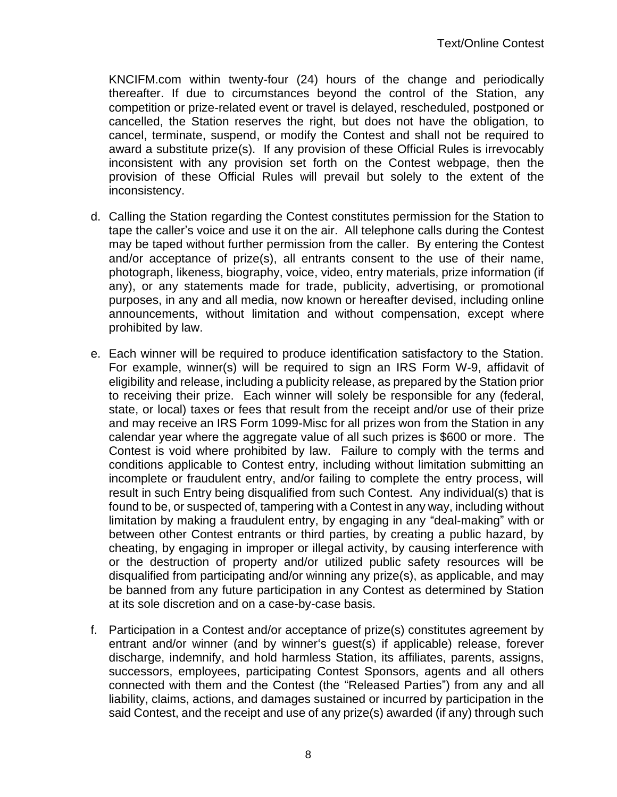KNCIFM.com within twenty-four (24) hours of the change and periodically thereafter. If due to circumstances beyond the control of the Station, any competition or prize-related event or travel is delayed, rescheduled, postponed or cancelled, the Station reserves the right, but does not have the obligation, to cancel, terminate, suspend, or modify the Contest and shall not be required to award a substitute prize(s). If any provision of these Official Rules is irrevocably inconsistent with any provision set forth on the Contest webpage, then the provision of these Official Rules will prevail but solely to the extent of the inconsistency.

- d. Calling the Station regarding the Contest constitutes permission for the Station to tape the caller's voice and use it on the air. All telephone calls during the Contest may be taped without further permission from the caller. By entering the Contest and/or acceptance of prize(s), all entrants consent to the use of their name, photograph, likeness, biography, voice, video, entry materials, prize information (if any), or any statements made for trade, publicity, advertising, or promotional purposes, in any and all media, now known or hereafter devised, including online announcements, without limitation and without compensation, except where prohibited by law.
- e. Each winner will be required to produce identification satisfactory to the Station. For example, winner(s) will be required to sign an IRS Form W-9, affidavit of eligibility and release, including a publicity release, as prepared by the Station prior to receiving their prize. Each winner will solely be responsible for any (federal, state, or local) taxes or fees that result from the receipt and/or use of their prize and may receive an IRS Form 1099-Misc for all prizes won from the Station in any calendar year where the aggregate value of all such prizes is \$600 or more. The Contest is void where prohibited by law. Failure to comply with the terms and conditions applicable to Contest entry, including without limitation submitting an incomplete or fraudulent entry, and/or failing to complete the entry process, will result in such Entry being disqualified from such Contest. Any individual(s) that is found to be, or suspected of, tampering with a Contest in any way, including without limitation by making a fraudulent entry, by engaging in any "deal-making" with or between other Contest entrants or third parties, by creating a public hazard, by cheating, by engaging in improper or illegal activity, by causing interference with or the destruction of property and/or utilized public safety resources will be disqualified from participating and/or winning any prize(s), as applicable, and may be banned from any future participation in any Contest as determined by Station at its sole discretion and on a case-by-case basis.
- f. Participation in a Contest and/or acceptance of prize(s) constitutes agreement by entrant and/or winner (and by winner's guest(s) if applicable) release, forever discharge, indemnify, and hold harmless Station, its affiliates, parents, assigns, successors, employees, participating Contest Sponsors, agents and all others connected with them and the Contest (the "Released Parties") from any and all liability, claims, actions, and damages sustained or incurred by participation in the said Contest, and the receipt and use of any prize(s) awarded (if any) through such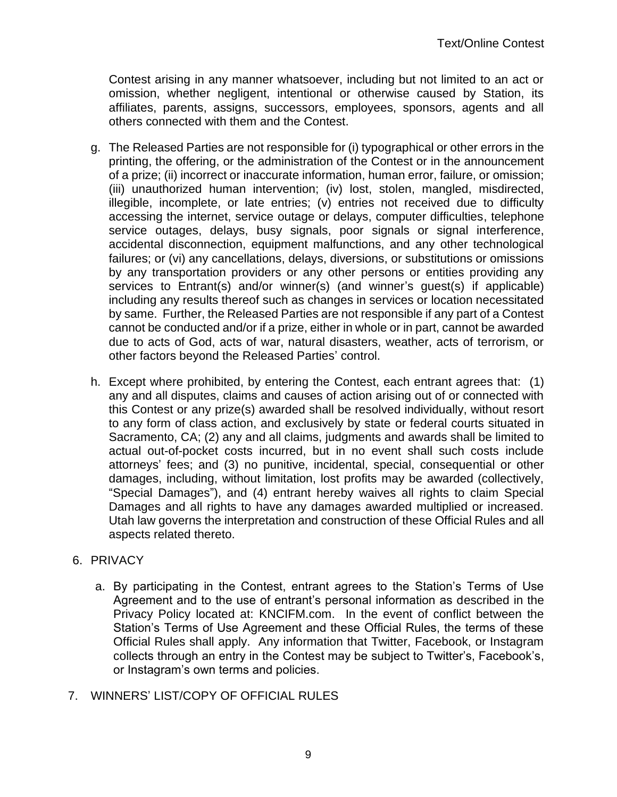Contest arising in any manner whatsoever, including but not limited to an act or omission, whether negligent, intentional or otherwise caused by Station, its affiliates, parents, assigns, successors, employees, sponsors, agents and all others connected with them and the Contest.

- g. The Released Parties are not responsible for (i) typographical or other errors in the printing, the offering, or the administration of the Contest or in the announcement of a prize; (ii) incorrect or inaccurate information, human error, failure, or omission; (iii) unauthorized human intervention; (iv) lost, stolen, mangled, misdirected, illegible, incomplete, or late entries; (v) entries not received due to difficulty accessing the internet, service outage or delays, computer difficulties, telephone service outages, delays, busy signals, poor signals or signal interference, accidental disconnection, equipment malfunctions, and any other technological failures; or (vi) any cancellations, delays, diversions, or substitutions or omissions by any transportation providers or any other persons or entities providing any services to Entrant(s) and/or winner(s) (and winner's guest(s) if applicable) including any results thereof such as changes in services or location necessitated by same. Further, the Released Parties are not responsible if any part of a Contest cannot be conducted and/or if a prize, either in whole or in part, cannot be awarded due to acts of God, acts of war, natural disasters, weather, acts of terrorism, or other factors beyond the Released Parties' control.
- h. Except where prohibited, by entering the Contest, each entrant agrees that: (1) any and all disputes, claims and causes of action arising out of or connected with this Contest or any prize(s) awarded shall be resolved individually, without resort to any form of class action, and exclusively by state or federal courts situated in Sacramento, CA; (2) any and all claims, judgments and awards shall be limited to actual out-of-pocket costs incurred, but in no event shall such costs include attorneys' fees; and (3) no punitive, incidental, special, consequential or other damages, including, without limitation, lost profits may be awarded (collectively, "Special Damages"), and (4) entrant hereby waives all rights to claim Special Damages and all rights to have any damages awarded multiplied or increased. Utah law governs the interpretation and construction of these Official Rules and all aspects related thereto.

### 6. PRIVACY

- a. By participating in the Contest, entrant agrees to the Station's Terms of Use Agreement and to the use of entrant's personal information as described in the Privacy Policy located at: KNCIFM.com. In the event of conflict between the Station's Terms of Use Agreement and these Official Rules, the terms of these Official Rules shall apply. Any information that Twitter, Facebook, or Instagram collects through an entry in the Contest may be subject to Twitter's, Facebook's, or Instagram's own terms and policies.
- 7. WINNERS' LIST/COPY OF OFFICIAL RULES